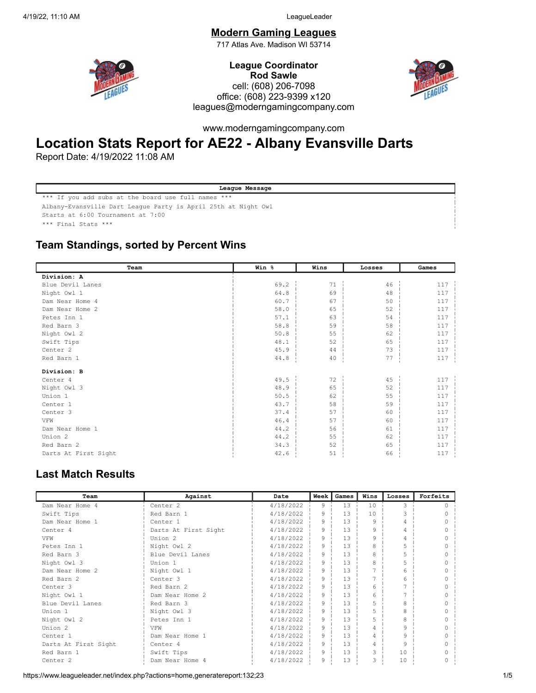#### Modern Gaming Leagues

717 Atlas Ave. Madison WI 53714



League Coordinator Rod Sawle cell: (608) 206-7098 office: (608) 223-9399 x120 leagues@moderngamingcompany.com



www.moderngamingcompany.com

## Location Stats Report for AE22 - Albany Evansville Darts

Report Date: 4/19/2022 11:08 AM

| League Message                                                 |  |
|----------------------------------------------------------------|--|
| *** If you add subs at the board use full names ***            |  |
| Albany-Evansville Dart League Party is April 25th at Night Owl |  |
| Starts at 6:00 Tournament at 7:00                              |  |
| *** Final Stats ***                                            |  |
|                                                                |  |

#### Team Standings, sorted by Percent Wins

| Team                 | Win % | Wins | Losses | Games |
|----------------------|-------|------|--------|-------|
| Division: A          |       |      |        |       |
| Blue Devil Lanes     | 69.2  | 71   | 46     | 117   |
| Night Owl 1          | 64.8  | 69   | 48     | 117   |
| Dam Near Home 4      | 60.7  | 67   | 50     | 117   |
| Dam Near Home 2      | 58.0  | 65   | 52     | 117   |
| Petes Inn 1          | 57.1  | 63   | 54     | 117   |
| Red Barn 3           | 58.8  | 59   | 58     | 117   |
| Night Owl 2          | 50.8  | 55   | 62     | 117   |
| Swift Tips           | 48.1  | 52   | 65     | 117   |
| Center <sub>2</sub>  | 45.9  | 44   | 73     | 117   |
| Red Barn 1           | 44.8  | 40   | 77     | 117   |
| Division: B          |       |      |        |       |
| Center 4             | 49.5  | 72   | 45     | 117   |
| Night Owl 3          | 48.9  | 65   | 52     | 117   |
| Union 1              | 50.5  | 62   | 55     | 117   |
| Center 1             | 43.7  | 58   | 59     | 117   |
| Center 3             | 37.4  | 57   | 60     | 117   |
| VFW                  | 46.4  | 57   | 60     | 117   |
| Dam Near Home 1      | 44.2  | 56   | 61     | 117   |
| Union 2              | 44.2  | 55   | 62     | 117   |
| Red Barn 2           | 34.3  | 52   | 65     | 117   |
| Darts At First Sight | 42.6  | 51   | 66     | 117   |

#### Last Match Results

| Team                 | Against              | Date      | Week | Games | Wins | Losses | Forfeits |
|----------------------|----------------------|-----------|------|-------|------|--------|----------|
| Dam Near Home 4      | Center <sub>2</sub>  | 4/18/2022 | 9    | 13    | 10   | 3      |          |
| Swift Tips           | Red Barn 1           | 4/18/2022 | 9    | 13    | 10   |        |          |
| Dam Near Home 1      | Center <sub>1</sub>  | 4/18/2022 | 9    | 13    | 9    | 4      |          |
| Center <sub>4</sub>  | Darts At First Sight | 4/18/2022 | 9    | 13    | 9    | 4      |          |
| VFW                  | Union 2              | 4/18/2022 | 9    | 13    | 9    | 4      |          |
| Petes Inn 1          | Night Owl 2          | 4/18/2022 | 9    | 13    | 8    |        |          |
| Red Barn 3           | Blue Devil Lanes     | 4/18/2022 | 9    | 13    | 8    |        |          |
| Night Owl 3          | Union 1              | 4/18/2022 | 9    | 13    | 8    |        |          |
| Dam Near Home 2      | Night Owl 1          | 4/18/2022 | 9    | 13    |      |        |          |
| Red Barn 2           | Center <sub>3</sub>  | 4/18/2022 | 9    | 13    | 7    | 6      |          |
| Center <sub>3</sub>  | Red Barn 2           | 4/18/2022 | 9    | 13    | 6    |        |          |
| Night Owl 1          | Dam Near Home 2      | 4/18/2022 | 9    | 13    | 6    |        |          |
| Blue Devil Lanes     | Red Barn 3           | 4/18/2022 | 9    | 13    | 5    | 8      |          |
| Union 1              | Night Owl 3          | 4/18/2022 | 9    | 13    | 5    | 8      |          |
| Night Owl 2          | Petes Inn 1          | 4/18/2022 | 9    | 13    | 5    | 8      |          |
| Union 2              | VFW                  | 4/18/2022 | 9    | 13    | 4    | Q      |          |
| Center 1             | Dam Near Home 1      | 4/18/2022 | 9    | 13    | 4    | q      |          |
| Darts At First Sight | Center <sub>4</sub>  | 4/18/2022 | 9    | 13    | 4    | 9      |          |
| Red Barn 1           | Swift Tips           | 4/18/2022 | 9    | 13    | 3    | 10     |          |
| Center <sub>2</sub>  | Dam Near Home 4      | 4/18/2022 | 9    | 13    | 3    | 10     |          |

https://www.leagueleader.net/index.php?actions=home,generatereport:132;23 1/5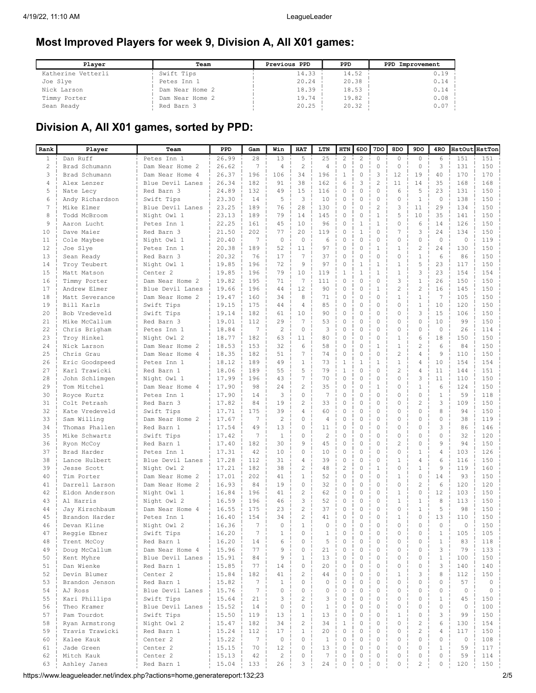#### Most Improved Players for week 9, Division A, All X01 games:

| Plaver             | Team            | Previous PPD | PPD.  | PPD Improvement |
|--------------------|-----------------|--------------|-------|-----------------|
| Katherine Vetterli | Swift Tips      | 14.33        | 14.52 | 0.19            |
| Joe Slye           | Petes Inn 1     | 20.24        | 20.38 | 0.14            |
| Nick Larson        | Dam Near Home 2 | 18.39        | 18.53 | 0.14            |
| Timmy Porter       | Dam Near Home 2 | 19.74        | 19.82 | 0.08            |
| Sean Ready         | Red Barn 3      | 20.25        | 20.32 | 0.07            |

## Division A, All X01 games, sorted by PPD:

| Rank           | Player                         | Team                                | PPD            | Gam            | Win            | <b>HAT</b>               | LTN            | <b>HTN</b>     | 6DO              | 7DO            | 8DO                            | 9 <sub>D</sub> o              | 4RO               |              | HstOut HstTon |
|----------------|--------------------------------|-------------------------------------|----------------|----------------|----------------|--------------------------|----------------|----------------|------------------|----------------|--------------------------------|-------------------------------|-------------------|--------------|---------------|
| $\mathbf{1}$   | Dan Ruff                       | Petes Inn 1                         | 26.99          | 28             | 13             | 5                        | 25             | $\overline{c}$ | $\overline{c}$   | $\circ$        | $\circ$                        | $\circ$                       | 6                 | 151          | 151           |
| $\overline{2}$ | Brad Schumann                  | Dam Near Home 2                     | 26.62          | 7              | $\overline{4}$ | $\sqrt{2}$               | $\sqrt{4}$     | $\circ$        | $\circ$          | $\circ$        | $\circ$                        | $\mathbf 0$                   | 3                 | 131          | 150           |
| 3              | Brad Schumann                  | Dam Near Home 4                     | 26.37          | 196            | 106            | 34                       | 196            | $\,1\,$        | $\circ$          | 3              | 12                             | 19                            | 40                | 170          | 170           |
| 4              | Alex Lenzer                    | Blue Devil Lanes                    | 26.34          | 182            | 91             | 38                       | 162            | 6              | 3                | $\overline{c}$ | 11                             | 14                            | 35                | 168          | 168           |
| 5              | Nate Lecy                      | Red Barn 3                          | 24.89          | 132            | 49             | 15                       | 116            | 0              | $\mathbf 0$      | 0              | 6                              | 5                             | 23                | 131          | 150           |
| 6              | Andy Richardson                | Swift Tips                          | 23.30          | 14             | 5              | 3                        | 10             | $\mathbf 0$    | $\mathbf 0$      | 0              | 0                              | $\mathbf{1}$                  | $\circ$           | 138          | 150           |
| 7              | Mike Elmer                     | Blue Devil Lanes                    | 23.25          | 189            | 76             | 28                       | 130            | 0              | $\mathbf 0$      | 2              | 3                              | 11                            | 29                | 134          | 150           |
| 8              | Todd McBroom                   | Night Owl 1                         | 23.13          | 189            | 79             | 14                       | 145            | $\Omega$       | $\Omega$         | 1              | 5                              | 10                            | 35                | 141          | 150           |
| 9              | Aaron Lucht                    | Petes Inn 1                         | 22.25          | 161            | 45             | 10                       | 96             | $\circ$        | 1                | 1              | 0                              | 6                             | 14                | 126          | 150           |
| 10             | Dave Maier                     | Red Barn 3                          | 21.50          | 202            | 77             | 20                       | 119            | $\circ$        | $\mathbf{1}$     | 0              | 7                              | 3                             | 24                | 134          | 150           |
| 11             | Cole Maybee                    | Night Owl 1                         | 20.40          | 7              | 0              | $\mathbf{0}$             | 6              | $\circ$        | $\mathbf 0$      | 0              | 0                              | $\circ$                       | $\circ$           | $\mathbf{0}$ | 119           |
| 12             | Joe Slye                       | Petes Inn 1                         | 20.38          | 189            | 52             | 11                       | 97             | $\circ$        | $\mathbf 0$      | $\mathbf{1}$   | $\mathbf{1}$                   | $\overline{c}$                | 24                | 130          | 150           |
| 13             | Sean Ready                     | Red Barn 3                          | 20.32          | 76             | 17             | 7                        | 37             | 0              | $\mathbf 0$      | $\Omega$       | 0                              | $\mathbf{1}$                  | 6                 | 86           | 150           |
| 14             | Troy Teubert                   | Night Owl 1                         | 19.85          | 196            | 72             | 9                        | 97             | 0              | $1\,$            | $\mathbf 1$    | $\mathbf{1}$                   | 5                             | 23                | 117          | 150           |
| 15             | Matt Matson                    | Center <sub>2</sub>                 | 19.85          | 196            | 79             | 10                       | 119            | $\mathbf{1}$   | $\mathbf{1}$     | 1              | $\mathbf{1}$                   | 3                             | 23                | 154          | 154           |
| 16             | Timmy Porter                   | Dam Near Home 2                     | 19.82          | 195            | 71             | 7                        | 111            | 0              | $\mathbf 0$      | $\Omega$       | 3                              | $1\,$                         | 26                | 150          | 150           |
| 17<br>18       | Andrew Elmer<br>Matt Severance | Blue Devil Lanes<br>Dam Near Home 2 | 19.66<br>19.47 | 196<br>160     | 44<br>34       | 12<br>8                  | 90<br>71       | $\Omega$<br>0  | $\mathbf 0$<br>0 | 1<br>0         | $\overline{c}$<br>$\mathbf{1}$ | $\overline{c}$<br>$\mathbf 1$ | 16<br>7           | 145<br>105   | 150<br>150    |
| 19             | Bill Karls                     |                                     |                | 175            | 44             | $\overline{4}$           | 85             | $\mathbf 0$    | 0                | 0              | 0                              | $\mathbf 1$                   | 10                | 120          | 150           |
| 20             | Bob Vredeveld                  | Swift Tips<br>Swift Tips            | 19.15<br>19.14 | 182            | 61             | 10                       | 90             | $\circ$        | $\circ$          | 0              | 0                              | 3                             | 15                | 106          | 150           |
| 21             | Mike McCallum                  | Red Barn 3                          | 19.01          | 112            | 29             | 7                        | 53             | $\circ$        | $\mathbf 0$      | 0              | $\mathbf 0$                    | $\mathbf 0$                   | 10                | 99           | 150           |
| 22             | Chris Brigham                  | Petes Inn 1                         | 18.84          | 7              | 2              | $\mathbf{0}$             | 3              | $\mathbf 0$    | $\mathbf 0$      | $\Omega$       | $\mathbf 0$                    | $\mathbf 0$                   | $\circ$           | 26           | 114           |
| 23             | Troy Hinkel                    | Night Owl 2                         | 18.77          | 182            | 63             | 11                       | 80             | 0              | $\mathbf 0$      | 0              | $1\,$                          | 6                             | 18                | 150          | 150           |
| 24             | Nick Larson                    | Dam Near Home 2                     | 18.53          | 153            | 32             | 6                        | 58             | 0              | $\mathbf 0$      | 1              | $\mathbf{1}$                   | $\overline{c}$                | 6                 | 84           | 150           |
| 25             | Chris Grau                     | Dam Near Home 4                     | 18.35          | 182            | 51             | 7                        | 74             | 0              | $\mathbf 0$      | 0              | $\overline{c}$                 | $\overline{4}$                | 9                 | 110          | 150           |
| 26             | Eric Goodspeed                 | Petes Inn 1                         | 18.12          | 189            | 49             | $\mathbf{1}$             | 73             | $\mathbf{1}$   | $\mathbf 1$      | 1              | $1\,$                          | $\overline{4}$                | 10                | 154          | 154           |
| 27             | Karl Trawicki                  | Red Barn 1                          | 18.06          | 189            | 55             | 5                        | 79             | $\mathbf{1}$   | $\mathbf 0$      | 0              | $\overline{c}$                 | 4                             | 11                | 144          | 151           |
| 28             | John Schlimgen                 | Night Owl 1                         | 17.99          | 196            | 43             | 7                        | 70             | $\circ$        | $\circ$          | 0              | 0                              | 3                             | 11                | 110          | 150           |
| 29             | Tom Mitchel                    | Dam Near Home 4                     | 17.90          | 98             | 24             | $\overline{c}$           | 35             | $\circ$        | $\circ$          | 1              | 0                              | $1\,$                         | 6                 | 124          | 150           |
| 30             | Royce Kurtz                    | Petes Inn 1                         | 17.90          | 14             | 3              | $\mathbf 0$              | 7              | $\circ$        | $\mathbf 0$      | 0              | $\mathbf 0$                    | $\mathbf 0$                   | $\mathbf{1}$      | 59           | 118           |
| 31             | Colt Petrash                   | Red Barn 3                          | 17.82          | 84             | 19             | $\overline{c}$           | 33             | $\circ$        | $\mathbf 0$      | $\Omega$       | $\mathbf 0$                    | $\overline{c}$                | 3                 | 109          | 150           |
| 32             | Kate Vredeveld                 | Swift Tips                          | 17.71          | 175            | 39             | 4                        | 60             | 0              | $\mathbf 0$      | 0              | $\mathbf 0$                    | $\mathbf 0$                   | 8                 | 94           | 150           |
| 33             | Sam Willing                    | Dam Near Home 2                     | 17.67          | 7              | $\mathbf{2}$   | 0                        | 4              | $\mathbf 0$    | 0                | $\Omega$       | $\mathbf 0$                    | $\mathbf 0$                   | $\circ$           | 38           | 119           |
| 34             | Thomas Phallen                 | Red Barn 1                          | 17.54          | 49             | 13             | 0                        | 11             | 0              | $\mathbf 0$      | $\Omega$       | 0                              | 0                             | 3                 | 86           | 146           |
| 35             | Mike Schwartz                  | Swift Tips                          | 17.42          | 7              | $\mathbf{1}$   | 0                        | $\overline{c}$ | 0              | 0                | O              | $\mathbf 0$                    | 0                             | $\Omega$          | 32           | 120           |
| 36             | Ryon McCoy                     | Red Barn 1                          | 17.40          | 182            | 30             | 9                        | 45             | 0              | 0                | 0              | $\overline{c}$                 | 0                             | 9                 | 94           | 150           |
| 37             | Brad Harder                    | Petes Inn 1                         | 17.31          | 42             | 10             | 0                        | 10             | $\Omega$       | 0                | O              | $\mathbf 0$                    | $\mathbf{1}$                  | $\overline{4}$    | 103          | 126           |
| 38             | Lance Hulbert                  | Blue Devil Lanes                    | 17.28          | 112            | 31             | 4                        | 39             | $\mathbf 0$    | $\circ$          | 0              | $\mathbf{1}$                   | $\overline{4}$                | 6                 | 116          | 150           |
| 39             | Jesse Scott                    | Night Owl 2                         | 17.21          | 182            | 38             | $\overline{c}$           | 48             | $\overline{c}$ | $\circ$          | 1              | 0                              | $\mathbf{1}$                  | 9                 | 119          | 160           |
| 40             | Tim Porter                     | Dam Near Home 2                     | 17.01          | 202            | 41             | $\mathbf{1}$             | 52             | $\circ$        | $\mathbf 0$      | 0              | $\mathbf{1}$                   | $\mathbf 0$                   | 14                | 93           | 150           |
| 41             | Darrell Larson                 | Dam Near Home 2                     | 16.93          | 84             | 19             | $\mathbf 0$              | 32             | $\circ$        | $\mathbf 0$      | $\Omega$       | 0                              | $\overline{c}$                | 6                 | 120          | 120           |
| 42             | Eldon Anderson                 | Night Owl 1                         | 16.84          | 196            | 41             | $\overline{c}$           | 62             | $\circ$        | $\mathbf 0$      | $\Omega$       | $\mathbf{1}$                   | $\mathbf 0$                   | 12                | 103          | 150           |
| 43             | Al Harris                      | Night Owl 2                         | 16.59          | 196            | 46             | 3                        | 52             | 0              | 0                | 0              | $\mathbf{1}$                   | $\mathbf 1$                   | 8                 | 113          | 150           |
| 44             | Jay Kirschbaum                 | Dam Near Home 4                     | 16.55          | 175            | 23             | $\overline{c}$           | 37             | $\mathbf 0$    | 0                | 0              | 0                              | $\mathbf{1}$                  | 5                 | 98           | 150           |
| 45             | Brandon Harder                 | Petes Inn 1                         | 16.40          | 154            | 34<br>$\Omega$ | $\overline{c}$           | 41             | 0<br>$\Omega$  | 0                | 0<br>O         | $\mathbf{1}$                   | 0<br>$\Omega$                 | 13<br>$\Omega$    | 110          | 150           |
| 46<br>47       | Devan Kline                    | Night Owl 2                         | 16.36          | 7<br>7         | $\mathbf{1}$   | $\mathbf{1}$<br>$\Omega$ | $\circ$        | 0              | 0<br>0           | 0              | $\mathbf 0$<br>0               | $\Omega$                      |                   | $\mathbf 0$  | 150<br>105    |
| 48             | Reggie Ebner                   | Swift Tips<br>Red Barn 1            | 16.20<br>16.20 | 14             | 6              | 0                        | 1<br>5         | $\circ$        | $\mathbb O$      | 0              | 0                              | $\circ$                       | 1<br>$\mathbf{1}$ | 105<br>83    | 118           |
| 49             | Trent McCoy<br>Doug McCallum   | Dam Near Home 4                     | 15.96          | 77             | 9              | 0                        | 21             | $\circ$        | $\circ$          | $\circ$        | $\circ$                        | $\circ$                       | 3                 | 79           | 133           |
| 50             | Kent Myhre                     | Blue Devil Lanes                    | 15.91          | 84             | 9              | $1\,$                    | 13             | $\circ$        | $\circ$          | $\mathbf 0$    | $\circ$                        | $\mathbf 0$                   | $\mathbf{1}$      | 100          | 150           |
| 51             | Dan Wienke                     | Red Barn 1                          | 15.85          | 77             | 14             | $\Omega$                 | 20             | $\circ$        | $\circ$          | $\Omega$       | $\mathbf 0$                    | $\Omega$                      | 3                 | 140          | 140           |
| 52             | Devin Blumer                   | Center <sub>2</sub>                 | 15.84          | 182            | 41             | $\overline{c}$           | 44             | $\circ$        | $\circ$          | 0              | $\mathbf{1}$                   | 3                             | 8                 | 112          | 150           |
| 53             | Brandon Jenson                 | Red Barn 1                          | 15.82          | $\overline{7}$ | $\mathbf{1}$   | $\Omega$                 | $\circ$        | $\circ$        | $\Omega$         | $\Omega$       | $\circ$                        | $\Omega$                      | $\Omega$          | 57           | $\circ$       |
| 54             | AJ Ross                        | Blue Devil Lanes                    | 15.76          | 7              | $\circ$        | $\Omega$                 | $\circ$        | $\mathbf 0$    | $\circ$          | $\Omega$       | $\circ$                        | $\Omega$                      | $\Omega$          | $\circ$      | $\circ$       |
| 55             | Kari Phillips                  | Swift Tips                          | 15.64          | 21             | 3              | $\overline{c}$           | 3              | $\Omega$       | $\Omega$         | $\Omega$       | $\Omega$                       | $\Omega$                      | $\mathbf{1}$      | 45           | 150           |
| 56             | Theo Kramer                    | Blue Devil Lanes                    | 15.52          | 14             | $\Omega$       | $\Omega$                 | $\mathbf{1}$   | $\circ$        | $\circ$          | $\Omega$       | $\Omega$                       | $\Omega$                      | $\Omega$          | $\Omega$     | 100           |
| 57             | Pam Tourdot                    | Swift Tips                          | 15.50          | 119            | 13             | $\mathbf{1}$             | 13             | $\circ$        | $\Omega$         | $\Omega$       | $\mathbf{1}$                   | $\Omega$                      | 3                 | 99           | 150           |
| 58             | Ryan Armstrong                 | Night Owl 2                         | 15.47          | 182            | 34             | $\overline{c}$           | 34             | $\mathbf{1}$   | $\circ$          | $\Omega$       | $\circ$                        | $\overline{c}$                | 6                 | 130          | 154           |
| 59             | Travis Trawicki                | Red Barn 1                          | 15.24          | 112            | 17             | $\mathbf{1}$             | 20             | $\circ$        | $\circ$          | $\Omega$       | $\mathbf 0$                    | $\overline{c}$                | $\overline{4}$    | 117          | 150           |
| 60             | Kalee Kauk                     | Center <sub>2</sub>                 | 15.22          | 7              | $\circ$        | $\Omega$                 | $\mathbf{1}$   | $\circ$        | $\circ$          | $\Omega$       | $\mathbf 0$                    | $\Omega$                      | $\Omega$          | $\circ$      | 108           |
| 61             | Jade Green                     | Center <sub>2</sub>                 | 15.15          | 70             | 12             | $\circ$                  | 13             | $\circ$        | $\circ$          | $\Omega$       | $\circ$                        | $\Omega$                      | $\mathbf{1}$      | 59           | 117           |
| 62             | Mitch Kauk                     | Center <sub>2</sub>                 | 15.13          | 42             | $\mathbf{2}$   | 0                        | $\overline{7}$ | 0              | $\circ$          | 0              | $\mathbb O$                    | $\mathbf 0$                   | $\circ$           | 59           | 114           |
| 63             | Ashley Janes                   | Red Barn 1                          | 15.04          | 133            | 26             | 3                        | 24             | 0              | $\mathbb O$      | $\circ$        | $\mathbb O$                    | $\overline{c}$                | $\circ$           | 120          | 150           |

https://www.leagueleader.net/index.php?actions=home,generatereport:132;23 2/5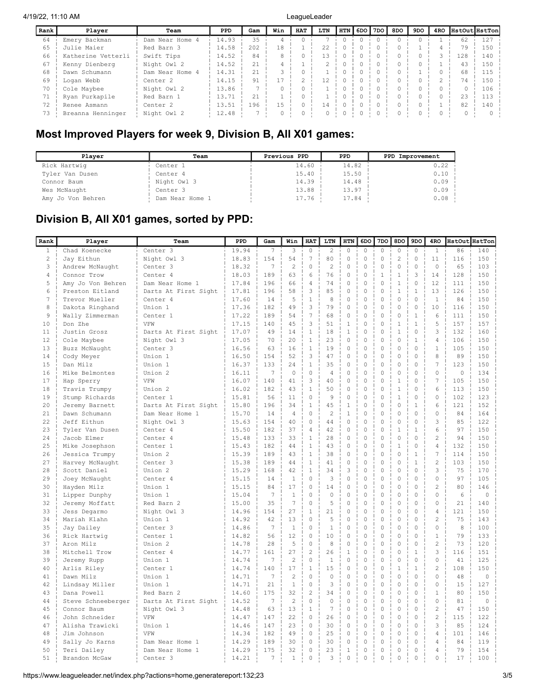4/19/22, 11:10 AM LeagueLeader

| Rank | Player             | Team                | PPD   | Gam | Win | <b>HAT</b> | LTN | <b>HTN</b> | 6DO I | 7DO | 8DO      | 9DO | 4RO | <b>HstOut HstTon</b> |     |
|------|--------------------|---------------------|-------|-----|-----|------------|-----|------------|-------|-----|----------|-----|-----|----------------------|-----|
| 64   | Emery Backman      | Dam Near Home 4     | 14.93 | 35  |     |            |     |            |       |     | $\Omega$ |     |     | 62                   | 127 |
| 65   | Julie Maier        | Red Barn 3          | 14.58 | 202 | 18  |            | 22  |            |       |     |          |     |     | 79                   | 150 |
| 66   | Katherine Vetterli | Swift Tips          | 14.52 | 84  |     |            | 13  |            |       |     |          |     |     | 128                  | 140 |
| 67   | Kenny Dienberg     | Night Owl 2         | 14.52 | 21  |     |            |     |            |       |     |          |     |     |                      | 150 |
| 68   | Dawn Schumann      | Dam Near Home 4     | 14.31 | 21  |     |            |     |            |       |     |          |     |     | 68                   | 115 |
| 69   | Logan Webb         | Center <sub>2</sub> | 14.15 | 91  |     |            | 12  |            |       |     |          |     |     | 74                   | 150 |
| 70   | Cole Maybee        | Night Owl 2         | 13.86 |     |     |            |     |            |       |     |          |     |     |                      | 106 |
| 71   | Ryan Purkapile     | Red Barn 1          | 13.71 | 21  |     |            |     |            |       |     |          |     |     | 23                   | 113 |
| 72   | Renee Asmann       | Center <sub>2</sub> | 13.51 | 196 | 15  |            | 14  |            |       |     |          |     |     | 82                   | 140 |
|      | Breanna Henninger  | Night Owl 2         | 12.48 |     |     |            |     |            |       |     |          |     |     |                      |     |

## Most Improved Players for week 9, Division B, All X01 games:

| Player            | Team                | Previous PPD | PPD.  | PPD Improvement |
|-------------------|---------------------|--------------|-------|-----------------|
| Rick Hartwig      | Center <sub>1</sub> | 14.60        | 14.82 | 0.22            |
| Tyler Van Dusen   | Center 4            | 15.40        | 15.50 | 0.10            |
| Connor Baum       | Night Owl 3         | 14.39        | 14.48 | 0.09            |
| Wes McNaught      | Center <sub>3</sub> | 13.88        | 13.97 | 0.09            |
| Amy Jo Von Behren | Dam Near Home 1     | 17.76        | 17.84 | 0.08            |

## Division B, All X01 games, sorted by PPD:

| Rank                  | Player             | Team                 | PPD   | Gam | Win            | <b>HAT</b>               | LTN            | <b>HTN</b>   | 6DO         | 7DO         | 8DO            | 9DO          | 4RO            |          | HstOut HstTon |
|-----------------------|--------------------|----------------------|-------|-----|----------------|--------------------------|----------------|--------------|-------------|-------------|----------------|--------------|----------------|----------|---------------|
| $\mathbf{1}$          | Chad Koenecke      | Center <sub>3</sub>  | 19.94 | 7   | 3              | $\circ$                  | 2              | $\circ$      | $\circ$     | $\circ$     | $\circ$        | $\circ$      | $\mathbf{1}$   | 86       | 140           |
| $\mathbf{2}^{\prime}$ | Jay Eithun         | Night Owl 3          | 18.83 | 154 | 54             | 7                        | 80             | $\mathbf 0$  | $\mathbf 0$ | $\mathbf 0$ | $\overline{c}$ | $\mathbf 0$  | 11             | 116      | 150           |
| 3                     | Andrew McNaught    | Center <sub>3</sub>  | 18.32 | 7   | $\overline{c}$ | $\circ$                  | $\overline{c}$ | $\mathbf 0$  | $\mathbf 0$ | $\mathbf 0$ | $\mathbf 0$    | $\circ$      | $\circ$        | 65       | 103           |
| 4                     | Connor Trow        | Center <sub>4</sub>  | 18.03 | 189 | 63             | 6                        | 76             | $\mathbf 0$  | 0           | $\mathbf 1$ | $\mathbf 1$    | 3            | 14             | 128      | 150           |
| 5                     | Amy Jo Von Behren  | Dam Near Home 1      | 17.84 | 196 | 66             | 4                        | 74             | $\mathbf 0$  | $\mathbf 0$ | $\mathbf 0$ | $\mathbf{1}$   | $\mathbf 0$  | 12             | 111      | 150           |
| 6                     | Preston Eitland    | Darts At First Sight | 17.81 | 196 | 58             | 3                        | 85             | $\mathbf 0$  | $\Omega$    | $\mathbf 0$ | $\mathbf{1}$   | $\mathbf{1}$ | 13             | 126      | 150           |
| 7                     | Trevor Mueller     | Center <sub>4</sub>  | 17.60 | 14  | 5              | $1\,$                    | 8              | $\circ$      | $\mathbf 0$ | $\circ$     | $\circ$        | $\circ$      | $\mathbf{1}$   | 84       | 150           |
| 8                     | Dakota Ringhand    | Union 1              | 17.36 | 182 | 49             | 3                        | 79             | $\mathbf 0$  | $\mathbf 0$ | $\circ$     | $\mathbf 0$    | $\circ$      | 10             | 116      | 150           |
| 9                     | Wally Zimmerman    | Center 1             | 17.22 | 189 | 54             | $\overline{\phantom{a}}$ | 68             | $\mathbf 0$  | $\mathbf 0$ | $\mathbf 0$ | $\mathbf 0$    | $\mathbf{1}$ | 6              | 111      | 150           |
| 10                    | Don Zhe            | VFW                  | 17.15 | 140 | 45             | 3                        | 51             | $1\,$        | $\mathbf 0$ | $\mathbf 0$ | 1              | $\mathbf{1}$ | 5              | 157      | 157           |
| 11                    | Justin Grosz       | Darts At First Sight | 17.07 | 49  | 14             | $\mathbf{1}$             | 18             | $1\,$        | $\mathbf 0$ | $\circ$     | $1\,$          | $\circ$      | 3              | 132      | 160           |
| 12                    | Cole Maybee        | Night Owl 3          | 17.05 | 70  | 20             | $1\,$                    | 23             | $\circ$      | $\mathbf 0$ | $\circ$     | $\mathbf 0$    | $\mathbf{1}$ | 4              | 106      | 150           |
| 13                    | Buzz McNaught      | Center 3             | 16.56 | 63  | 16             | $1\,$                    | 19             | $\Omega$     | $\Omega$    | $\Omega$    | $\Omega$       | $\Omega$     | $\mathbf{1}$   | 105      | 150           |
| 14                    | Cody Meyer         | Union 1              | 16.50 | 154 | 52             | 3                        | 47             | $\circ$      | $\Omega$    | $\Omega$    | $\Omega$       | $\Omega$     | 8              | 89       | 150           |
| 15                    | Dan Milz           | Union 1              | 16.37 | 133 | 24             | $\mathbf{1}$             | 35             | $\Omega$     | $\Omega$    | $\Omega$    | $\Omega$       | $\Omega$     | $\overline{7}$ | 123      | 150           |
| 16                    | Mike Belmontes     | Union 2              | 16.11 | 7   | $\Omega$       | 0                        | $\overline{4}$ | $\Omega$     | $\Omega$    | $\Omega$    | $\Omega$       | $\Omega$     | $\Omega$       | $\Omega$ | 134           |
| 17                    | Hap Sperry         | VFW                  | 16.07 | 140 | 41             | 3                        | 40             | $\Omega$     | $\Omega$    | $\Omega$    | $\mathbf{1}$   | $\Omega$     | $\overline{7}$ | 105      | 150           |
| 18                    | Travis Trumpy      | Union 2              | 16.02 | 182 | 43             | $\mathbf{1}$             | 50             | $\mathbf 0$  | $\Omega$    | $\Omega$    | $\mathbf{1}$   | $\Omega$     | 6              | 113      | 150           |
| 19                    | Stump Richards     | Center <sub>1</sub>  | 15.81 | 56  | 11             | $\mathbf 0$              | 9              | $\Omega$     | $\Omega$    | $\Omega$    | $\mathbf{1}$   | $\Omega$     | 0              | 102      | 123           |
| 20                    | Jeremy Barnett     | Darts At First Sight | 15.80 | 196 | 34             | $\mathbf{1}$             | 45             | $\mathbf{1}$ | $\Omega$    | $\Omega$    | $\Omega$       | $\mathbf{1}$ | 6              | 121      | 152           |
| 21                    | Dawn Schumann      | Dam Near Home 1      | 15.70 | 14  | $\overline{4}$ | $\Omega$                 | $\overline{c}$ | $\mathbf{1}$ | $\mathbf 0$ | $\Omega$    | $\Omega$       | $\Omega$     | $\Omega$       | 84       | 164           |
| 22                    | Jeff Eithun        | Night Owl 3          | 15.63 | 154 | 40             | $\mathbf 0$              | 44             | $\Omega$     | $\Omega$    | $\Omega$    | $\mathbf 0$    | $\Omega$     | 3              | 85       | 122           |
| 23                    | Tyler Van Dusen    | Center <sub>4</sub>  | 15.50 | 182 | 37             | 4                        | 42             | $\Omega$     | $\Omega$    | $\Omega$    | $\mathbf{1}$   | $\mathbf{1}$ | 6              | 97       | 150           |
| 24                    | Jacob Elmer        | Center <sub>4</sub>  | 15.48 | 133 | 33             | $\mathbf{1}$             | 28             | $\Omega$     | $\Omega$    | $\Omega$    | $\Omega$       | $\Omega$     | $\overline{2}$ | 94       | 150           |
| 25                    | Mike Josephson     | Center <sub>1</sub>  | 15.43 | 182 | 44             | $\mathbf{1}$             | 43             | $\mathbf 0$  | $\Omega$    | $\mathbf 0$ | $\mathbf{1}$   | $\Omega$     | 4              | 132      | 150           |
| 26                    | Jessica Trumpy     | Union 2              | 15.39 | 189 | 43             | $\mathbf{1}$             | 38             | $\mathbf 0$  | $\mathbf 0$ | $\Omega$    | $\Omega$       | $\mathbf{1}$ | 7              | 114      | 150           |
| 27                    | Harvey McNaught    | Center <sub>3</sub>  | 15.38 | 189 | 44             | $\mathbf{1}$             | 41             | $\mathbf 0$  | $\Omega$    | $\Omega$    | $\Omega$       | $\mathbf{1}$ | $\overline{c}$ | 103      | 150           |
| 28                    | Scott Daniel       | Union 2              | 15.29 | 168 | 42             | $\mathbf{1}$             | 34             | 3            | $\mathbf 0$ | $\mathbf 0$ | $\Omega$       | $\Omega$     | 3              | 75       | 170           |
| 29                    | Joey McNaught      | Center <sub>4</sub>  | 15.15 | 14  | $\mathbf{1}$   | $\mathbf 0$              | 3              | $\mathbf 0$  | $\Omega$    | $\Omega$    | $\mathbf 0$    | $\Omega$     | 0              | 97       | 105           |
| 30                    | Hayden Milz        | Union 1              | 15.15 | 84  | 17             | 0                        | 14             | $\mathbf 0$  | $\Omega$    | $\Omega$    | $\Omega$       | $\Omega$     | $\overline{c}$ | 80       | 146           |
| 31                    | Lipper Dunphy      | Union 1              | 15.04 | 7   | $\mathbf{1}$   | $\Omega$                 | $\Omega$       | $\Omega$     | $\Omega$    | $\Omega$    | $\Omega$       | $\Omega$     | $\Omega$       | 6        | $\mathbf 0$   |
| 32                    | Jeremy Moffatt     | Red Barn 2           | 15.00 | 35  | 7              | 0                        | 5              | $\mathbf 0$  | $\Omega$    | $\mathbf 0$ | $\Omega$       | $\Omega$     | $\Omega$       | 21       | 140           |
| 33                    | Jess Degarmo       | Night Owl 3          | 14.96 | 154 | 27             | $\mathbf{1}$             | 21             | $\Omega$     | $\mathbf 0$ | $\Omega$    | $\Omega$       | $\Omega$     | 4              | 121      | 150           |
| 34                    | Mariah Klahn       | Union 1              | 14.92 | 42  | 13             | $\circ$                  | 5              | $\Omega$     | $\Omega$    | $\Omega$    | $\Omega$       | $\Omega$     | $\overline{c}$ | 75       | 143           |
| 35                    | Jay Dailey         | Center <sub>3</sub>  | 14.86 | 7   | $\mathbf{1}$   | $\circ$                  | $\mathbf{1}$   | $\mathbf 0$  | $\mathbf 0$ | $\mathbf 0$ | $\Omega$       | $\Omega$     | $\Omega$       | 8        | 100           |
| 36                    | Rick Hartwig       | Center 1             | 14.82 | 56  | 12             | 0                        | 10             | $\mathbf 0$  | $\Omega$    | $\mathbf 0$ | 0              | $\Omega$     | $\mathbf{1}$   | 79       | 133           |
| 37                    | Aron Milz          | Union 2              | 14.78 | 28  | 5              | 0                        | 8              | $\mathbf 0$  | $\Omega$    | $\mathbf 0$ | $\Omega$       | $\Omega$     | $\overline{c}$ | 73       | 120           |
| 38                    | Mitchell Trow      | Center <sub>4</sub>  | 14.77 | 161 | 27             | $\overline{c}$           | 26             | $\mathbf{1}$ | $\Omega$    | $\Omega$    | $\Omega$       | $\mathbf{1}$ | 3              | 116      | 151           |
| 39                    | Jeremy Rupp        | Union 1              | 14.74 | 7   | $\overline{c}$ | $\mathbf 0$              | $\mathbf{1}$   | $\mathbf 0$  | $\mathbf 0$ | $\mathbf 0$ | $\mathbf 0$    | $\Omega$     | 0              | 41       | 125           |
| 40                    | Arlis Riley        | Center <sub>1</sub>  | 14.74 | 140 | 17             | $\mathbf{1}$             | 15             | $\mathbf 0$  | $\mathbf 0$ | $\mathbf 0$ | $\mathbf{1}$   | $\mathbf{1}$ | $\overline{c}$ | 108      | 150           |
| 41                    | Dawn Milz          | Union 1              | 14.71 | 7   | $\overline{c}$ | 0                        | $\Omega$       | $\mathbf 0$  | $\Omega$    | $\Omega$    | $\Omega$       | $\Omega$     | $\Omega$       | 48       | 0             |
| 42                    | Lindsay Miller     | Union 1              | 14.71 | 21  | $\mathbf{1}$   | $\circ$                  | 3              | $\mathbf 0$  | $\mathbf 0$ | $\mathbf 0$ | $\mathbf 0$    | $\circ$      | 0              | 15       | 127           |
| 43                    | Dana Powell        | Red Barn 2           | 14.60 | 175 | 32             | $\overline{c}$           | 34             | $\mathbf 0$  | $\mathbf 0$ | $\mathbf 0$ | 0              | $\mathbf 0$  | $\mathbf{1}$   | 80       | 150           |
| 44                    | Steve Schneeberger | Darts At First Sight | 14.52 | 7   | $\overline{c}$ | 0                        | $\Omega$       | 0            | 0           | $\mathbf 0$ | 0              | $\Omega$     | 0              | 81       | $\mathbf 0$   |
| 45                    | Connor Baum        | Night Owl 3          | 14.48 | 63  | 13             | $\mathbf{1}$             | 7              | $\Omega$     | $\Omega$    | $\Omega$    | $\Omega$       | $\Omega$     | $\overline{c}$ | 47       | 150           |
| 46                    | John Schneider     | VFW                  | 14.47 | 147 | 22             | 0                        | 26             | $\mathbf 0$  | $\mathbf 0$ | $\mathbf 0$ | 0              | $\mathbf 0$  | $\overline{c}$ | 115      | 122           |
| 47                    | Alisha Trawicki    | Union 1              | 14.46 | 147 | 23             | 0                        | 30             | $\mathbf 0$  | $\mathbf 0$ | $\mathbf 0$ | 0              | $\mathbf 0$  | 3              | 85       | 124           |
| 48                    | Jim Johnson        | VFW                  | 14.34 | 182 | 49             | 0                        | 25             | $\mathbf 0$  | $\Omega$    | $\mathbf 0$ | 0              | $\Omega$     | 4              | 101      | 146           |
| 49                    | Sally Jo Karns     | Dam Near Home 1      | 14.29 | 189 | 30             | 0                        | 30             | $\mathbf 0$  | 0           | $\mathbf 0$ | 0              | $\mathbf 0$  | 4              | 84       | 119           |
| 50                    | Teri Dailey        | Dam Near Home 1      | 14.29 | 175 | 32             | 0                        | 23             | $\mathbf{1}$ | 0           | $\mathbf 0$ | 0              | $\mathbf 0$  | 4              | 79       | 154           |
| 51                    | Brandon McGaw      | Center <sub>3</sub>  | 14.21 | 7   | $\mathbf{1}$   | 0                        | 3              | $\Omega$     | $\Omega$    | $\mathbf 0$ | $\Omega$       | $\Omega$     | 0              | 17       | 100           |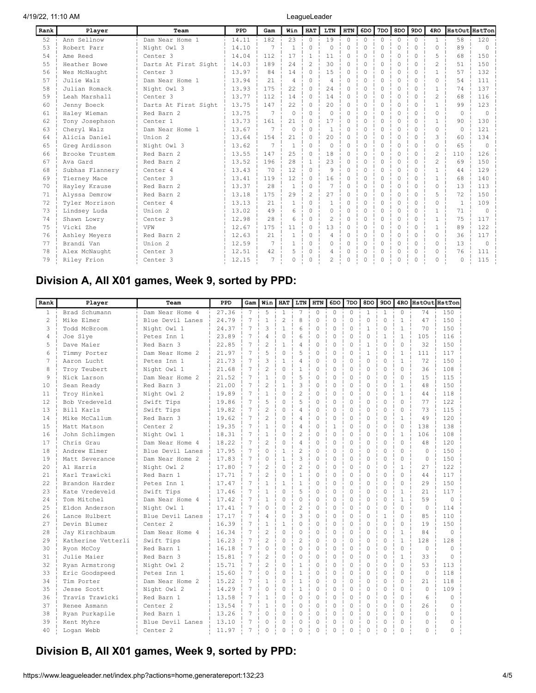4/19/22, 11:10 AM LeagueLeader

| Rank | Player          | Team                 | PPD   | Gam            | Win            | HAT           | LTN            | <b>HTN</b> | 6DO          | 7DO I  | 8DO      | 9DO       | 4RO            | HstOut HstTon |           |
|------|-----------------|----------------------|-------|----------------|----------------|---------------|----------------|------------|--------------|--------|----------|-----------|----------------|---------------|-----------|
| 52   | Ann Sellnow     | Dam Near Home 1      | 14.11 | 182            | 23             | $\cap$        | 19             | $\bigcap$  | $\Omega$     | $\cap$ | $\Omega$ | $\Omega$  | $\mathbf{1}$   | 58            | 120       |
| 53   | Robert Parr     | Night Owl 3          | 14.10 | 7              | $\mathbf{1}$   | $\bigcap$     | $\Omega$       | $\cap$     | 0            | 0      | $\Omega$ | $\bigcap$ | $\cap$         | 89            | $\cap$    |
| 54   | Ame Reed        | Center <sub>3</sub>  | 14.04 | 112            | 17             | $\mathbf{1}$  | 11             | $\Omega$   | <sup>0</sup> | ∩      | ∩        | $\cap$    | 5              | 68            | 150       |
| 55   | Heather Bowe    | Darts At First Sight | 14.03 | 189            | 2.4            | $\mathcal{L}$ | 30             | $\bigcap$  | <sup>0</sup> | ∩      | n        | $\cap$    | $\mathfrak{D}$ | 51            | 150       |
| 56   | Wes McNaught    | Center 3             | 13.97 | 84             | 14             | $\Omega$      | 15             | $\Omega$   | 0            | ∩      | n        | $\bigcap$ |                | 57            | 132       |
| 57   | Julie Walz      | Dam Near Home 1      | 13.94 | 2.1            | 4              | $\bigcap$     | $\overline{4}$ | $\Omega$   | <sup>0</sup> | 0      | $\Omega$ | $\bigcap$ | $\Omega$       | 54            | 111       |
| 58   | Julian Romack   | Night Owl 3          | 13.93 | 175            | 22.2           | $\Omega$      | 2.4            | $\Omega$   | <sup>0</sup> |        | $\Omega$ | $\bigcap$ |                | 74            | 137       |
| 59   | Leah Marshall   | Center <sub>3</sub>  | 13.77 | 112            | 14             | $\Omega$      | 14             | $\Omega$   | 0            | n      | n        | 0         |                | 68            | 116       |
| 60   | Jenny Boeck     | Darts At First Sight | 13.75 | 147            | 22.2           | $\Omega$      | 2.0            | $\Omega$   | 0            | 0      | $\Omega$ | $\Omega$  |                | 99            | 123       |
| 61   | Haley Wieman    | Red Barn 2           | 13.75 | $\overline{7}$ | $\Omega$       | $\Omega$      | $\Omega$       | $\Omega$   | 0            | 0.     | n        | 0         | $\cap$         | $\bigcap$     | $\bigcap$ |
| 62   | Tony Josephson  | Center <sub>1</sub>  | 13.73 | 161            | 21             | $\bigcap$     | 17             | $\Omega$   | 0            | 0.     | n        | 0         |                | 90            | 130       |
| 63   | Cheryl Walz     | Dam Near Home 1      | 13.67 | 7              | $\Omega$       | $\Omega$      | $\overline{1}$ | $\cap$     | <sup>0</sup> | n      | n        | 0         | 0              | $\bigcap$     | 121       |
| 64   | Alicia Daniel   | Union 2              | 13.64 | 154            | 21             | $\Omega$      | 2.0            | $\cap$     | <sup>0</sup> | 0      | $\Omega$ | $\bigcap$ | 3              | 60            | 134       |
| 6.5  | Greg Ardisson   | Night Owl 3          | 13.62 | 7              | $\overline{1}$ | $\Omega$      | $\Omega$       | $\Omega$   | <sup>0</sup> |        |          | $\bigcap$ | $\Omega$       | 65            | $\Omega$  |
| 66   | Brooke Trustem  | Red Barn 2           | 13.55 | 147            | 2.5            | $\Omega$      | 18             | $\Omega$   | <sup>0</sup> | ∩      | n        | 0         | $\mathfrak{D}$ | 110           | 126       |
| 67   | Ava Gard        | Red Barn 2           | 13.52 | 196            | 28             | $\mathbf{1}$  | 2.3            | $\Omega$   | 0            | ∩      | $\cap$   | $\Omega$  |                | 69            | 150       |
| 68   | Subhas Flannery | Center <sub>4</sub>  | 13.43 | 70             | 12.            | $\bigcap$     | 9              | $\Omega$   | 0            | ∩      | n        | 0         |                | 44            | 129       |
| 69   | Tierney Mace    | Center <sub>3</sub>  | 13.41 | 119            | 12             | $\bigcap$     | 16             | $\Omega$   | 0            |        | n        | 0         |                | 68            | 140       |
| 70   | Hayley Krause   | Red Barn 2           | 13.37 | 28             | $\overline{1}$ | $\Omega$      | 7              | $\Omega$   | 0            | n      | 0        | 0         | 0              | 1.3           | 113       |
| 71   | Alyssa Demrow   | Red Barn 2           | 13.18 | 175            | 29             | $\mathcal{L}$ | 27             | $\bigcap$  | 0            | 0      | $\Omega$ | $\bigcap$ | 5              | 72            | 150       |
| 72   | Tyler Morrison  | Center <sub>4</sub>  | 13.13 | 21             | $\mathbf{1}$   | $\Omega$      | $\overline{1}$ | $\bigcap$  | 0            | ∩      | $\Omega$ | $\bigcap$ | $\Omega$       | $\mathbf{1}$  | 109       |
| 73   | Lindsey Luda    | Union 2              | 13.02 | 49             | 6              | $\cap$        | $\Omega$       | $\Omega$   | <sup>0</sup> | ∩      | $\Omega$ | O.        |                | 71            | $\Omega$  |
| 74   | Shawn Lowry     | Center <sub>3</sub>  | 12.98 | 28             | 6              | $\Omega$      | $\mathcal{L}$  | $\Omega$   | 0            | Λ.     | $\Omega$ | $\bigcap$ |                | 75            | 117       |
| 75   | Vicki Zhe       | VFW                  | 12.67 | 175            | 11             | $\cap$        | 13             | $\Omega$   | 0            |        |          | 0         |                | 89            | 122       |
| 76   | Ashley Meyers   | Red Barn 2           | 12.63 | 21             | $\mathbf{1}$   | $\circ$       | 4              | $\Omega$   | 0            |        | n        | $\bigcap$ | 0              | 36            | 117       |
| 77   | Brandi Van      | Union 2              | 12.59 | 7              | 1              | $\Omega$      | $\Omega$       | $\Omega$   | $\Omega$     | 0.     | 0        | 0         | $\Omega$       | 1.3           | $\Omega$  |
| 78   | Alex McNaught   | Center <sub>3</sub>  | 12.51 | 42             | 5              | $\Omega$      | 4              | $\Omega$   | 0            |        | $\Omega$ | $\Omega$  | $\Omega$       | 76            | 111       |
| 79   | Riley Frion     | Center <sub>3</sub>  | 12.15 | 7              | <sup>0</sup>   | $\cap$        | 2              | 0          | 0            |        |          | 0         |                | $\bigcap$     | 115       |

## Division A, All X01 games, Week 9, sorted by PPD:

| Rank           | Player             | Team                | PPD   | Gam            | Win            | <b>HAT</b>     | LTN            | <b>HTN</b> | 6DO          | 7DO       | 8 <sub>D</sub> O | 9 <sub>D</sub> o | 4RO          | HstOut  HstTon |          |
|----------------|--------------------|---------------------|-------|----------------|----------------|----------------|----------------|------------|--------------|-----------|------------------|------------------|--------------|----------------|----------|
| $\mathbf{1}$   | Brad Schumann      | Dam Near Home 4     | 27.36 | $\overline{7}$ | 5              | $\mathbf{1}$   | 7              | $\Omega$   | $\Omega$     | $\Omega$  | $\mathbf{1}$     | $\mathbf{1}$     | $\Omega$     | 74             | 1.50     |
| $\mathfrak{D}$ | Mike Elmer         | Blue Devil Lanes    | 24.79 | 7              | $\mathbf{1}$   | $\mathfrak{D}$ | 8              | $\Omega$   | $\Omega$     | $\Omega$  | $\Omega$         | $\Omega$         | $\mathbf{1}$ | 47             | 150      |
| 3              | Todd McBroom       | Night Owl 1         | 24.37 | 7              | 3              | $\mathbf{1}$   | 6              | $\Omega$   | $\Omega$     | $\Omega$  | $\mathbf{1}$     | $\Omega$         | $\mathbf{1}$ | 70             | 150      |
| 4              | Joe Slye           | Petes Inn 1         | 23.89 | 7              | 4              | $\Omega$       | 6              | $\Omega$   | $\Omega$     | $\Omega$  | $\Omega$         | $\mathbf{1}$     | $\mathbf{1}$ | 105            | 116      |
| 5              | Dave Maier         | Red Barn 3          | 22.85 | 7              | $\overline{c}$ | 1              | 4              | 0          | 0            | 0         | 1                | 0                | 0            | 32             | 150      |
| 6              | Timmy Porter       | Dam Near Home 2     | 21.97 | 7              | 5              | $\Omega$       | 5              | $\Omega$   | $\Omega$     | $\Omega$  | $\mathbf{1}$     | $\Omega$         | $\mathbf{1}$ | 111            | 117      |
| 7              | Aaron Lucht        | Petes Inn 1         | 21.73 | 7              | 3              | $\mathbf{1}$   | 4              | $\Omega$   | $\Omega$     | $\Omega$  | $\Omega$         | $\Omega$         | $\mathbf{1}$ | 72             | 150      |
| 8              | Troy Teubert       | Night Owl 1         | 21.68 | 7              | $\overline{2}$ | $\Omega$       | $\mathbf{1}$   | $\Omega$   | $\Omega$     | $\bigcap$ | $\Omega$         | $\Omega$         | $\Omega$     | 36             | 108      |
| $\mathsf{Q}$   | Nick Larson        | Dam Near Home 2     | 21.52 | 7              | $\mathbf{1}$   | $\Omega$       | 5              | $\Omega$   | $\Omega$     | $\Omega$  | $\Omega$         | $\Omega$         | $\Omega$     | 1.5            | 115      |
| 10             | Sean Ready         | Red Barn 3          | 21.00 | 7              | $\overline{2}$ | $\mathbf{1}$   | 3              | 0          | 0            | $\Omega$  | $\Omega$         | $\Omega$         | 1            | 48             | 150      |
| 11             | Troy Hinkel        | Night Owl 2         | 19.89 | 7              | $\mathbf{1}$   | $\Omega$       | $\overline{c}$ | 0          | $\Omega$     | $\Omega$  | $\Omega$         | $\Omega$         | $\mathbf{1}$ | 44             | 118      |
| 12             | Bob Vredeveld      | Swift Tips          | 19.86 | 7              | 5              | $\Omega$       | 5              | $\Omega$   | $\Omega$     | $\Omega$  | $\Omega$         | $\Omega$         | $\Omega$     | 77             | 122      |
| 13             | Bill Karls         | Swift Tips          | 19.82 | 7              | $\overline{2}$ | $\Omega$       | 4              | $\Omega$   | $\Omega$     | $\Omega$  | $\Omega$         | $\Omega$         | $\Omega$     | 73             | 115      |
| 14             | Mike McCallum      | Red Barn 3          | 19.62 | 7              | $\overline{2}$ | $\Omega$       | 4              | $\Omega$   | $\Omega$     | $\Omega$  | $\Omega$         | $\Omega$         | $\mathbf{1}$ | 49             | 120      |
| 1.5            | Matt Matson        | Center <sub>2</sub> | 19.35 | 7              | $\mathbf{1}$   | $\Omega$       | 4              | $\Omega$   | $\mathbf{1}$ | $\Omega$  | $\Omega$         | $\Omega$         | $\Omega$     | 138            | 138      |
| 16             | John Schlimgen     | Night Owl 1         | 18.31 | 7              | $\mathbf{1}$   | $\Omega$       | $\mathfrak{D}$ | $\Omega$   | $\Omega$     | $\Omega$  | $\Omega$         | $\Omega$         | $\mathbf{1}$ | 106            | 108      |
| 17             | Chris Grau         | Dam Near Home 4     | 18.22 | 7              | $\overline{2}$ | $\Omega$       | $\overline{4}$ | 0          | $\mathbf 0$  | 0         | $\Omega$         | 0                | $\Omega$     | 48             | 120      |
| 18             | Andrew Elmer       | Blue Devil Lanes    | 17.95 | $\overline{7}$ | $\Omega$       | $\mathbf{1}$   | $\overline{c}$ | $\Omega$   | $\Omega$     | $\Omega$  | $\Omega$         | $\Omega$         | $\Omega$     | $\Omega$       | 150      |
| 19             | Matt Severance     | Dam Near Home 2     | 17.83 | 7              | $\Omega$       | 1              | 3              | $\Omega$   | $\Omega$     | $\Omega$  | $\Omega$         | $\Omega$         | $\Omega$     | $\Omega$       | 150      |
| 2.0            | Al Harris          | Night Owl 2         | 17.80 | 7              | $\overline{c}$ | $\Omega$       | $\overline{c}$ | $\Omega$   | $\Omega$     | $\Omega$  | $\Omega$         | $\Omega$         | $\mathbf{1}$ | 27             | 122      |
| 21             | Karl Trawicki      | Red Barn 1          | 17.71 | 7              | $\overline{c}$ | $\Omega$       | $\mathbf{1}$   | $\Omega$   | $\Omega$     | $\Omega$  | $\Omega$         | $\Omega$         | $\Omega$     | 44             | 117      |
| 2.2.           | Brandon Harder     | Petes Inn 1         | 17.47 | 7              | $\mathbf{1}$   | $\mathbf{1}$   | $\mathbf{1}$   | $\Omega$   | $\Omega$     | $\Omega$  | $\Omega$         | $\Omega$         | $\Omega$     | 29             | 150      |
| 23             | Kate Vredeveld     | Swift Tips          | 17.46 | 7              | $\mathbf{1}$   | $\Omega$       | 5              | $\Omega$   | $\Omega$     | $\Omega$  | $\Omega$         | $\Omega$         | $\mathbf{1}$ | 21             | 117      |
| 2.4            | Tom Mitchel        | Dam Near Home 4     | 17.42 | 7              | $\mathbf{1}$   | $\Omega$       | $\Omega$       | $\circ$    | $\mathbf 0$  | 0         | $\Omega$         | $\Omega$         | $\mathbf{1}$ | 59             | $\Omega$ |
| 2.5            | Eldon Anderson     | Night Owl 1         | 17.41 | 7              | $\Omega$       | $\Omega$       | $\overline{c}$ | $\Omega$   | $\Omega$     | $\Omega$  | $\Omega$         | $\Omega$         | $\Omega$     | $\Omega$       | 114      |
| 26             | Lance Hulbert      | Blue Devil Lanes    | 17.17 | 7              | 4              | $\Omega$       | 3              | $\Omega$   | $\Omega$     | $\Omega$  | $\Omega$         | 1                | $\Omega$     | 85             | 110      |
| 27             | Devin Blumer       | Center <sub>2</sub> | 16.39 | 7              | $\mathbf{1}$   | $\mathbf{1}$   | $\Omega$       | $\Omega$   | $\Omega$     | $\Omega$  | $\Omega$         | $\Omega$         | $\Omega$     | 19             | 150      |
| 2.8            | Jay Kirschbaum     | Dam Near Home 4     | 16.34 | $\overline{7}$ | $\overline{c}$ | $\Omega$       | $\Omega$       | $\bigcap$  | $\Omega$     | $\Omega$  | $\Omega$         | $\Omega$         | $\mathbf{1}$ | 84             | $\Omega$ |
| 29             | Katherine Vetterli | Swift Tips          | 16.23 | 7              | $\overline{2}$ | $\Omega$       | $\overline{c}$ | $\Omega$   | $\Omega$     | $\Omega$  | $\Omega$         | $\Omega$         | $\mathbf{1}$ | 128            | 128      |
| 30             | Ryon McCoy         | Red Barn 1          | 16.18 | 7              | $\Omega$       | $\Omega$       | $\Omega$       | $\Omega$   | $\Omega$     | $\Omega$  | $\Omega$         | $\Omega$         | $\Omega$     | $\circ$        | $\Omega$ |
| 31             | Julie Maier        | Red Barn 3          | 15.81 | 7              | $\overline{c}$ | $\Omega$       | $\Omega$       | $\Omega$   | $\Omega$     | $\Omega$  | $\Omega$         | $\Omega$         | 1            | 33             | $\Omega$ |
| 32             | Ryan Armstrong     | Night Owl 2         | 15.71 | 7              | $\overline{c}$ | $\Omega$       | $\mathbf{1}$   | $\Omega$   | $\Omega$     | $\Omega$  | $\Omega$         | 0                | $\Omega$     | 53             | 113      |
| 33             | Eric Goodspeed     | Petes Inn 1         | 15.60 | $\overline{7}$ | $\Omega$       | $\cap$         | $\mathbf{1}$   | $\Omega$   | $\Omega$     | $\Omega$  | $\Omega$         | $\Omega$         | $\Omega$     | $\Omega$       | 118      |
| 34             | Tim Porter         | Dam Near Home 2     | 15.22 | 7              | $\mathbf{1}$   | $\cap$         | $\mathbf{1}$   | $\Omega$   | $\Omega$     | $\Omega$  | $\Omega$         | $\Omega$         | $\Omega$     | 21             | 118      |
| 3.5            | Jesse Scott        | Night Owl 2         | 14.29 | 7              | $\Omega$       | $\Omega$       | $\mathbf{1}$   | $\Omega$   | $\Omega$     | $\Omega$  | $\Omega$         | $\Omega$         | $\Omega$     | $\Omega$       | 109      |
| 36             | Travis Trawicki    | Red Barn 1          | 13.58 | 7              | $\mathbf{1}$   | $\Omega$       | $\Omega$       | $\Omega$   | $\Omega$     | $\Omega$  | $\Omega$         | $\Omega$         | $\Omega$     | 6              | $\Omega$ |
| 37             | Renee Asmann       | Center <sub>2</sub> | 13.54 | 7              | $\mathbf{1}$   | $\Omega$       | $\mathbf 0$    | $\circ$    | 0            | $\Omega$  | $\Omega$         | $\Omega$         | $\Omega$     | 26             | $\Omega$ |
| 38             | Ryan Purkapile     | Red Barn 1          | 13.26 | 7              | $\Omega$       | $\Omega$       | $\mathbf 0$    | $\Omega$   | $\Omega$     | $\Omega$  | $\Omega$         | $\Omega$         | 0            | $\Omega$       | $\Omega$ |
| 39             | Kent Myhre         | Blue Devil Lanes    | 13.10 | 7              | $\Omega$       | $\cap$         | $\Omega$       | $\cap$     | $\Omega$     | $\Omega$  | $\Omega$         | $\Omega$         | $\Omega$     | $\Omega$       |          |
| 40             | Logan Webb         | Center <sub>2</sub> | 11.97 | 7              | $\Omega$       | $\cap$         | $\Omega$       | $\Omega$   | $\Omega$     | $\Omega$  | $\Omega$         | $\Omega$         | O            | $\Omega$       |          |

## Division B, All X01 games, Week 9, sorted by PPD: